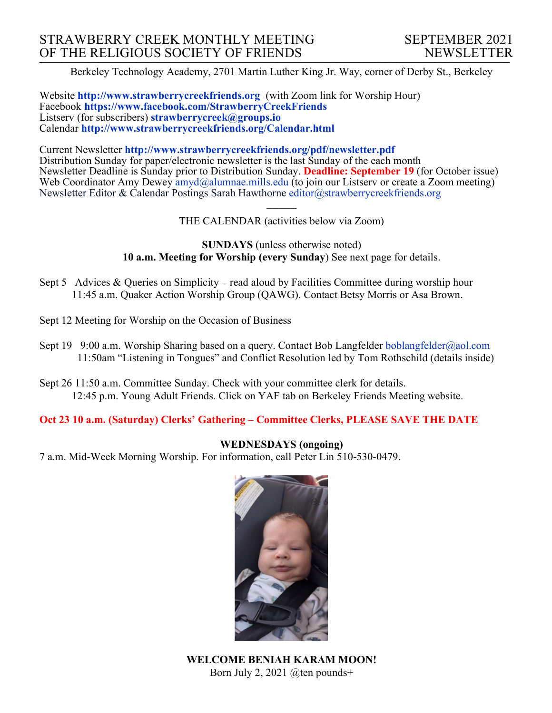Berkeley Technology Academy, 2701 Martin Luther King Jr. Way, corner of Derby St., Berkeley

Website **http://www.strawberrycreekfriends.org** (with Zoom link for Worship Hour) Facebook **https://www.facebook.com/StrawberryCreekFriends** Listserv (for subscribers) **strawberrycreek@groups.io** Calendar **http://www.strawberrycreekfriends.org/Calendar.html**

Current Newsletter **http://www.strawberrycreekfriends.org/pdf/newsletter.pdf** Distribution Sunday for paper/electronic newsletter is the last Sunday of the each month Newsletter Deadline is Sunday prior to Distribution Sunday. **Deadline: September 19** (for October issue) Web Coordinator Amy Dewey  $\frac{amyd}{a}$ alumnae.mills.edu (to join our Listserv or create a Zoom meeting) Newsletter Editor & Calendar Postings Sarah Hawthorne editor@strawberrycreekfriends.org

> $\overline{\phantom{a}}$ THE CALENDAR (activities below via Zoom)

**SUNDAYS** (unless otherwise noted) **10 a.m. Meeting for Worship (every Sunday**) See next page for details.

- Sept 5 Advices & Queries on Simplicity read aloud by Facilities Committee during worship hour 11:45 a.m. Quaker Action Worship Group (QAWG). Contact Betsy Morris or Asa Brown.
- Sept 12 Meeting for Worship on the Occasion of Business
- Sept 19 9:00 a.m. Worship Sharing based on a query. Contact Bob Langfelder boblangfelder@aol.com 11:50am "Listening in Tongues" and Conflict Resolution led by Tom Rothschild (details inside)
- Sept 26 11:50 a.m. Committee Sunday. Check with your committee clerk for details. 12:45 p.m. Young Adult Friends. Click on YAF tab on Berkeley Friends Meeting website.

**Oct 23 10 a.m. (Saturday) Clerks' Gathering – Committee Clerks, PLEASE SAVE THE DATE**

### **WEDNESDAYS (ongoing)**

7 a.m. Mid-Week Morning Worship. For information, call Peter Lin 510-530-0479.



**WELCOME BENIAH KARAM MOON!** Born July 2, 2021 @ten pounds+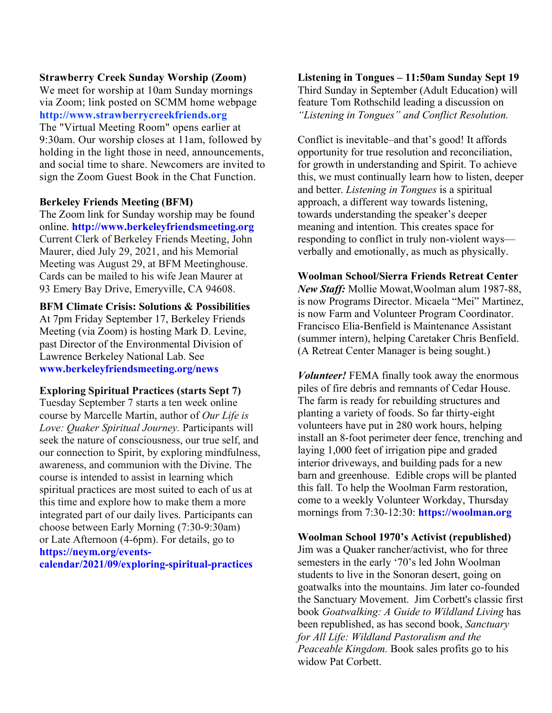### **Strawberry Creek Sunday Worship (Zoom)**

We meet for worship at 10am Sunday mornings via Zoom; link posted on SCMM home webpage **http://www.strawberrycreekfriends.org** The "Virtual Meeting Room" opens earlier at 9:30am. Our worship closes at 11am, followed by holding in the light those in need, announcements, and social time to share. Newcomers are invited to sign the Zoom Guest Book in the Chat Function.

### **Berkeley Friends Meeting (BFM)**

The Zoom link for Sunday worship may be found online. **http://www.berkeleyfriendsmeeting.org** Current Clerk of Berkeley Friends Meeting, John Maurer, died July 29, 2021, and his Memorial Meeting was August 29, at BFM Meetinghouse. Cards can be mailed to his wife Jean Maurer at 93 Emery Bay Drive, Emeryville, CA 94608.

**BFM Climate Crisis: Solutions & Possibilities** At 7pm Friday September 17, Berkeley Friends Meeting (via Zoom) is hosting Mark D. Levine, past Director of the Environmental Division of Lawrence Berkeley National Lab. See **www.berkeleyfriendsmeeting.org/news**

#### **Exploring Spiritual Practices (starts Sept 7)**

Tuesday September 7 starts a ten week online course by Marcelle Martin, author of *Our Life is Love: Quaker Spiritual Journey.* Participants will seek the nature of consciousness, our true self, and our connection to Spirit, by exploring mindfulness, awareness, and communion with the Divine. The course is intended to assist in learning which spiritual practices are most suited to each of us at this time and explore how to make them a more integrated part of our daily lives. Participants can choose between Early Morning (7:30-9:30am) or Late Afternoon (4-6pm). For details, go to **https://neym.org/eventscalendar/2021/09/exploring-spiritual-practices**

**Listening in Tongues – 11:50am Sunday Sept 19** Third Sunday in September (Adult Education) will feature Tom Rothschild leading a discussion on *"Listening in Tongues" and Conflict Resolution.*

Conflict is inevitable–and that's good! It affords opportunity for true resolution and reconciliation, for growth in understanding and Spirit. To achieve this, we must continually learn how to listen, deeper and better. *Listening in Tongues* is a spiritual approach, a different way towards listening, towards understanding the speaker's deeper meaning and intention. This creates space for responding to conflict in truly non-violent ways verbally and emotionally, as much as physically.

#### **Woolman School/Sierra Friends Retreat Center**

*New Staff:* Mollie Mowat,Woolman alum 1987-88, is now Programs Director. Micaela "Mei" Martinez, is now Farm and Volunteer Program Coordinator. Francisco Elia-Benfield is Maintenance Assistant (summer intern), helping Caretaker Chris Benfield. (A Retreat Center Manager is being sought.)

*Volunteer!* FEMA finally took away the enormous piles of fire debris and remnants of Cedar House. The farm is ready for rebuilding structures and planting a variety of foods. So far thirty-eight volunteers have put in 280 work hours, helping install an 8-foot perimeter deer fence, trenching and laying 1,000 feet of irrigation pipe and graded interior driveways, and building pads for a new barn and greenhouse. Edible crops will be planted this fall. To help the Woolman Farm restoration, come to a weekly Volunteer Workday, Thursday mornings from 7:30-12:30: **https://woolman.org**

#### **Woolman School 1970's Activist (republished)**

Jim was a Quaker rancher/activist, who for three semesters in the early '70's led John Woolman students to live in the Sonoran desert, going on goatwalks into the mountains. Jim later co-founded the Sanctuary Movement. Jim Corbett's classic first book *Goatwalking: A Guide to Wildland Living* has been republished, as has second book, *Sanctuary for All Life: Wildland Pastoralism and the Peaceable Kingdom.* Book sales profits go to his widow Pat Corbett.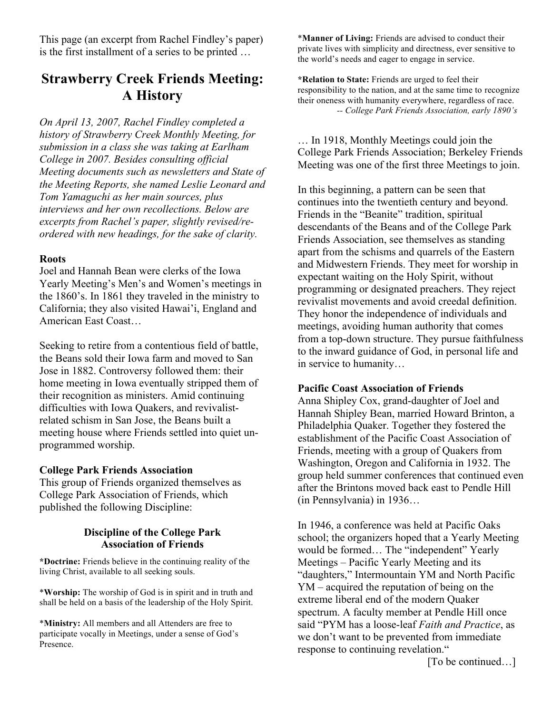This page (an excerpt from Rachel Findley's paper) is the first installment of a series to be printed …

# **Strawberry Creek Friends Meeting: A History**

*On April 13, 2007, Rachel Findley completed a history of Strawberry Creek Monthly Meeting, for submission in a class she was taking at Earlham College in 2007. Besides consulting official Meeting documents such as newsletters and State of the Meeting Reports, she named Leslie Leonard and Tom Yamaguchi as her main sources, plus interviews and her own recollections. Below are excerpts from Rachel's paper, slightly revised/reordered with new headings, for the sake of clarity.*

### **Roots**

Joel and Hannah Bean were clerks of the Iowa Yearly Meeting's Men's and Women's meetings in the 1860's. In 1861 they traveled in the ministry to California; they also visited Hawai'i, England and American East Coast…

Seeking to retire from a contentious field of battle, the Beans sold their Iowa farm and moved to San Jose in 1882. Controversy followed them: their home meeting in Iowa eventually stripped them of their recognition as ministers. Amid continuing difficulties with Iowa Quakers, and revivalistrelated schism in San Jose, the Beans built a meeting house where Friends settled into quiet unprogrammed worship.

### **College Park Friends Association**

This group of Friends organized themselves as College Park Association of Friends, which published the following Discipline:

# **Discipline of the College Park Association of Friends**

**\*Doctrine:** Friends believe in the continuing reality of the living Christ, available to all seeking souls.

\***Worship:** The worship of God is in spirit and in truth and shall be held on a basis of the leadership of the Holy Spirit.

\***Ministry:** All members and all Attenders are free to participate vocally in Meetings, under a sense of God's Presence.

\***Manner of Living:** Friends are advised to conduct their private lives with simplicity and directness, ever sensitive to the world's needs and eager to engage in service.

**\*Relation to State:** Friends are urged to feel their responsibility to the nation, and at the same time to recognize their oneness with humanity everywhere, regardless of race.  *-- College Park Friends Association, early 1890's*

… In 1918, Monthly Meetings could join the College Park Friends Association; Berkeley Friends Meeting was one of the first three Meetings to join.

In this beginning, a pattern can be seen that continues into the twentieth century and beyond. Friends in the "Beanite" tradition, spiritual descendants of the Beans and of the College Park Friends Association, see themselves as standing apart from the schisms and quarrels of the Eastern and Midwestern Friends. They meet for worship in expectant waiting on the Holy Spirit, without programming or designated preachers. They reject revivalist movements and avoid creedal definition. They honor the independence of individuals and meetings, avoiding human authority that comes from a top-down structure. They pursue faithfulness to the inward guidance of God, in personal life and in service to humanity…

### **Pacific Coast Association of Friends**

Anna Shipley Cox, grand-daughter of Joel and Hannah Shipley Bean, married Howard Brinton, a Philadelphia Quaker. Together they fostered the establishment of the Pacific Coast Association of Friends, meeting with a group of Quakers from Washington, Oregon and California in 1932. The group held summer conferences that continued even after the Brintons moved back east to Pendle Hill (in Pennsylvania) in 1936…

In 1946, a conference was held at Pacific Oaks school; the organizers hoped that a Yearly Meeting would be formed… The "independent" Yearly Meetings – Pacific Yearly Meeting and its "daughters," Intermountain YM and North Pacific YM – acquired the reputation of being on the extreme liberal end of the modern Quaker spectrum. A faculty member at Pendle Hill once said "PYM has a loose-leaf *Faith and Practice*, as we don't want to be prevented from immediate response to continuing revelation."

[To be continued...]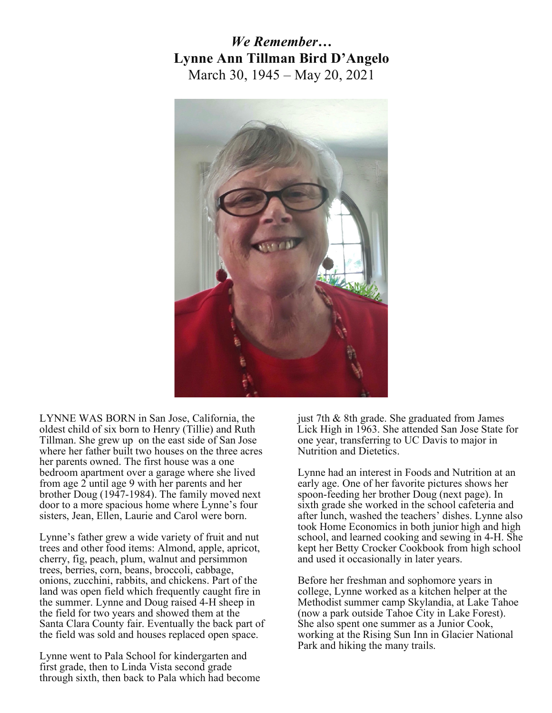# *We Remember…* **Lynne Ann Tillman Bird D'Angelo** March 30, 1945 – May 20, 2021



LYNNE WAS BORN in San Jose, California, the oldest child of six born to Henry (Tillie) and Ruth Tillman. She grew up on the east side of San Jose where her father built two houses on the three acres her parents owned. The first house was a one bedroom apartment over a garage where she lived from age 2 until age 9 with her parents and her brother Doug (1947-1984). The family moved next door to a more spacious home where Lynne's four sisters, Jean, Ellen, Laurie and Carol were born.

Lynne's father grew a wide variety of fruit and nut trees and other food items: Almond, apple, apricot, cherry, fig, peach, plum, walnut and persimmon trees, berries, corn, beans, broccoli, cabbage, onions, zucchini, rabbits, and chickens. Part of the land was open field which frequently caught fire in the summer. Lynne and Doug raised 4-H sheep in the field for two years and showed them at the Santa Clara County fair. Eventually the back part of the field was sold and houses replaced open space.

Lynne went to Pala School for kindergarten and first grade, then to Linda Vista second grade through sixth, then back to Pala which had become just 7th & 8th grade. She graduated from James Lick High in 1963. She attended San Jose State for one year, transferring to UC Davis to major in Nutrition and Dietetics.

Lynne had an interest in Foods and Nutrition at an early age. One of her favorite pictures shows her spoon-feeding her brother Doug (next page). In sixth grade she worked in the school cafeteria and after lunch, washed the teachers' dishes. Lynne also took Home Economics in both junior high and high school, and learned cooking and sewing in 4-H. She kept her Betty Crocker Cookbook from high school and used it occasionally in later years.

Before her freshman and sophomore years in college, Lynne worked as a kitchen helper at the Methodist summer camp Skylandia, at Lake Tahoe (now a park outside Tahoe City in Lake Forest). She also spent one summer as a Junior Cook, working at the Rising Sun Inn in Glacier National Park and hiking the many trails.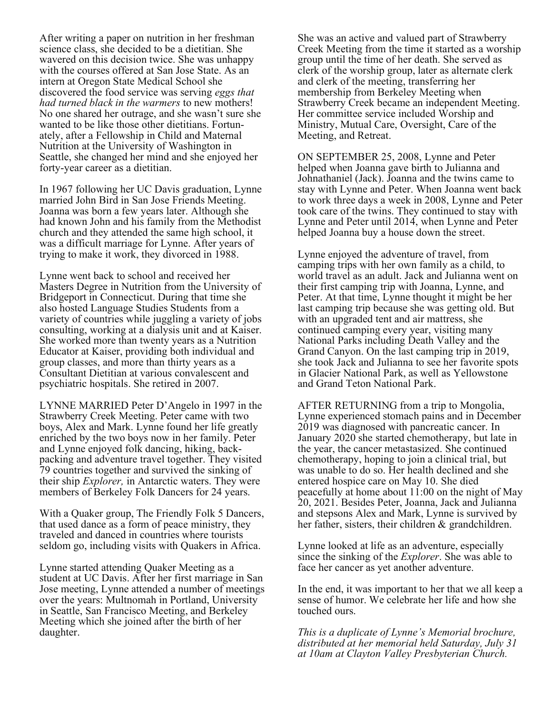After writing a paper on nutrition in her freshman science class, she decided to be a dietitian. She wavered on this decision twice. She was unhappy with the courses offered at San Jose State. As an intern at Oregon State Medical School she discovered the food service was serving *eggs that had turned black in the warmers* to new mothers! No one shared her outrage, and she wasn't sure she wanted to be like those other dietitians. Fortun- ately, after <sup>a</sup> Fellowship in Child and Maternal Nutrition at the University of Washington in Seattle, she changed her mind and she enjoyed her forty-year career as a dietitian.

In 1967 following her UC Davis graduation, Lynne married John Bird in San Jose Friends Meeting. Joanna was born a few years later. Although she had known John and his family from the Methodist church and they attended the same high school, it was a difficult marriage for Lynne. After years of trying to make it work, they divorced in 1988.

Lynne went back to school and received her Masters Degree in Nutrition from the University of Bridgeport in Connecticut. During that time she also hosted Language Studies Students from a variety of countries while juggling a variety of jobs consulting, working at a dialysis unit and at Kaiser. She worked more than twenty years as a Nutrition Educator at Kaiser, providing both individual and group classes, and more than thirty years as a Consultant Dietitian at various convalescent and psychiatric hospitals. She retired in 2007.

LYNNE MARRIED Peter D'Angelo in 1997 in the Strawberry Creek Meeting. Peter came with two boys, Alex and Mark. Lynne found her life greatly enriched by the two boys now in her family. Peter and Lynne enjoyed folk dancing, hiking, backpacking and adventure travel together. They visited 79 countries together and survived the sinking of their ship *Explorer,* in Antarctic waters. They were members of Berkeley Folk Dancers for 24 years.

With a Quaker group, The Friendly Folk 5 Dancers, that used dance as a form of peace ministry, they traveled and danced in countries where tourists seldom go, including visits with Quakers in Africa.

Lynne started attending Quaker Meeting as a student at UC Davis. After her first marriage in San Jose meeting, Lynne attended a number of meetings over the years: Multnomah in Portland, University in Seattle, San Francisco Meeting, and Berkeley Meeting which she joined after the birth of her daughter.

She was an active and valued part of Strawberry Creek Meeting from the time it started as a worship group until the time of her death. She served as clerk of the worship group, later as alternate clerk and clerk of the meeting, transferring her membership from Berkeley Meeting when Strawberry Creek became an independent Meeting. Her committee service included Worship and Ministry, Mutual Care, Oversight, Care of the Meeting, and Retreat.

ON SEPTEMBER 25, 2008, Lynne and Peter helped when Joanna gave birth to Julianna and Johnathaniel (Jack). Joanna and the twins came to stay with Lynne and Peter. When Joanna went back to work three days a week in 2008, Lynne and Peter took care of the twins. They continued to stay with Lynne and Peter until 2014, when Lynne and Peter helped Joanna buy a house down the street.

Lynne enjoyed the adventure of travel, from camping trips with her own family as a child, to world travel as an adult. Jack and Julianna went on their first camping trip with Joanna, Lynne, and Peter. At that time, Lynne thought it might be her last camping trip because she was getting old. But with an upgraded tent and air mattress, she continued camping every year, visiting many National Parks including Death Valley and the Grand Canyon. On the last camping trip in 2019, she took Jack and Julianna to see her favorite spots in Glacier National Park, as well as Yellowstone and Grand Teton National Park.

AFTER RETURNING from a trip to Mongolia, Lynne experienced stomach pains and in December 2019 was diagnosed with pancreatic cancer. In January 2020 she started chemotherapy, but late in the year, the cancer metastasized. She continued chemotherapy, hoping to join a clinical trial, but was unable to do so. Her health declined and she entered hospice care on May 10. She died peacefully at home about 11:00 on the night of May 20, 2021. Besides Peter, Joanna, Jack and Julianna and stepsons Alex and Mark, Lynne is survived by her father, sisters, their children & grandchildren.

Lynne looked at life as an adventure, especially since the sinking of the *Explorer*. She was able to face her cancer as yet another adventure.

In the end, it was important to her that we all keep a sense of humor. We celebrate her life and how she touched ours.

*This is a duplicate of Lynne's Memorial brochure, distributed at her memorial held Saturday, July 31 at 10am at Clayton Valley Presbyterian Church.*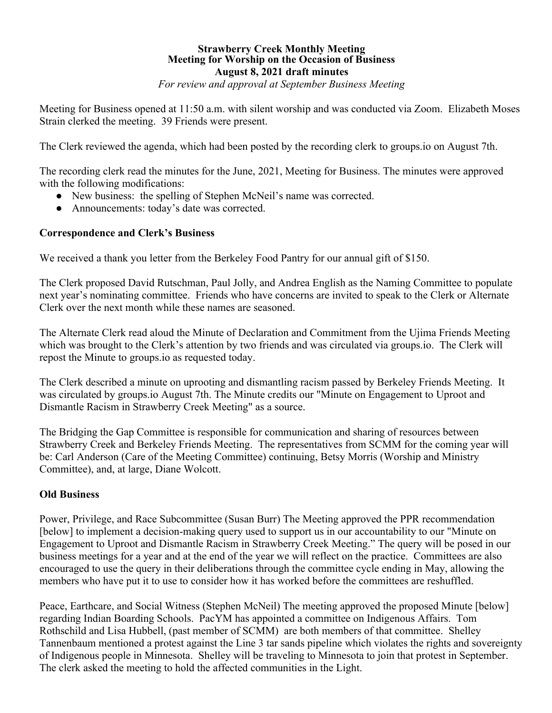### **Strawberry Creek Monthly Meeting Meeting for Worship on the Occasion of Business August 8, 2021 draft minutes**

*For review and approval at September Business Meeting*

Meeting for Business opened at 11:50 a.m. with silent worship and was conducted via Zoom. Elizabeth Moses Strain clerked the meeting. 39 Friends were present.

The Clerk reviewed the agenda, which had been posted by the recording clerk to groups.io on August 7th.

The recording clerk read the minutes for the June, 2021, Meeting for Business. The minutes were approved with the following modifications:

- New business: the spelling of Stephen McNeil's name was corrected.
- Announcements: today's date was corrected.

# **Correspondence and Clerk's Business**

We received a thank you letter from the Berkeley Food Pantry for our annual gift of \$150.

The Clerk proposed David Rutschman, Paul Jolly, and Andrea English as the Naming Committee to populate next year's nominating committee. Friends who have concerns are invited to speak to the Clerk or Alternate Clerk over the next month while these names are seasoned.

The Alternate Clerk read aloud the Minute of Declaration and Commitment from the Ujima Friends Meeting which was brought to the Clerk's attention by two friends and was circulated via groups.io. The Clerk will repost the Minute to groups.io as requested today.

The Clerk described a minute on uprooting and dismantling racism passed by Berkeley Friends Meeting. It was circulated by groups.io August 7th. The Minute credits our "Minute on Engagement to Uproot and Dismantle Racism in Strawberry Creek Meeting" as a source.

The Bridging the Gap Committee is responsible for communication and sharing of resources between Strawberry Creek and Berkeley Friends Meeting. The representatives from SCMM for the coming year will be: Carl Anderson (Care of the Meeting Committee) continuing, Betsy Morris (Worship and Ministry Committee), and, at large, Diane Wolcott.

### **Old Business**

Power, Privilege, and Race Subcommittee (Susan Burr) The Meeting approved the PPR recommendation [below] to implement a decision-making query used to support us in our accountability to our "Minute on Engagement to Uproot and Dismantle Racism in Strawberry Creek Meeting." The query will be posed in our business meetings for a year and at the end of the year we will reflect on the practice. Committees are also encouraged to use the query in their deliberations through the committee cycle ending in May, allowing the members who have put it to use to consider how it has worked before the committees are reshuffled.

Peace, Earthcare, and Social Witness (Stephen McNeil) The meeting approved the proposed Minute [below] regarding Indian Boarding Schools. PacYM has appointed a committee on Indigenous Affairs. Tom Rothschild and Lisa Hubbell, (past member of SCMM) are both members of that committee. Shelley Tannenbaum mentioned a protest against the Line 3 tar sands pipeline which violates the rights and sovereignty of Indigenous people in Minnesota. Shelley will be traveling to Minnesota to join that protest in September. The clerk asked the meeting to hold the affected communities in the Light.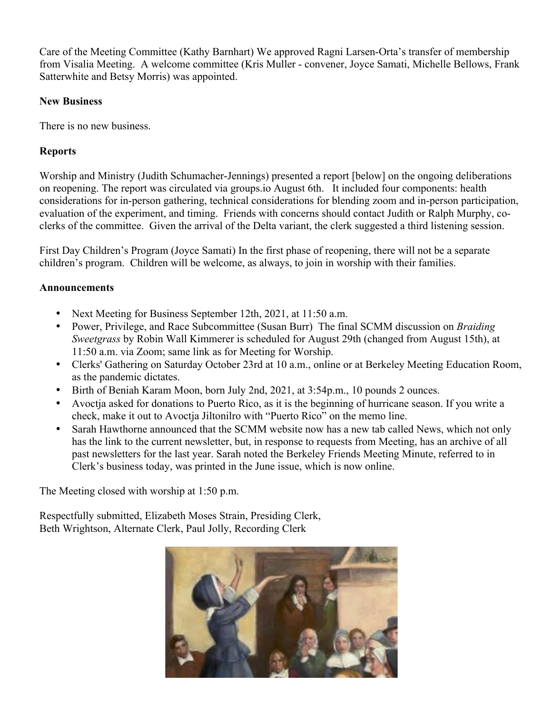Care of the Meeting Committee (Kathy Barnhart) We approved Ragni Larsen-Orta's transfer of membership from Visalia Meeting. A welcome committee (Kris Muller - convener, Joyce Samati, Michelle Bellows, Frank Satterwhite and Betsy Morris) was appointed.

# **New Business**

There is no new business.

# **Reports**

Worship and Ministry (Judith Schumacher-Jennings) presented a report [below] on the ongoing deliberations on reopening. The report was circulated via groups.io August 6th. It included four components: health considerations for in-person gathering, technical considerations for blending zoom and in-person participation, evaluation of the experiment, and timing. Friends with concerns should contact Judith or Ralph Murphy, coclerks of the committee. Given the arrival of the Delta variant, the clerk suggested a third listening session.

First Day Children's Program (Joyce Samati) In the first phase of reopening, there will not be a separate children's program. Children will be welcome, as always, to join in worship with their families.

# **Announcements**

- Next Meeting for Business September 12th, 2021, at 11:50 a.m.
- Power, Privilege, and Race Subcommittee (Susan Burr) The final SCMM discussion on *Braiding Sweetgrass* by Robin Wall Kimmerer is scheduled for August 29th (changed from August 15th), at 11:50 a.m. via Zoom; same link as for Meeting for Worship.
- Clerks' Gathering on Saturday October 23rd at 10 a.m., online or at Berkeley Meeting Education Room, as the pandemic dictates.
- Birth of Beniah Karam Moon, born July 2nd, 2021, at 3:54p.m., 10 pounds 2 ounces.
- Avoctja asked for donations to Puerto Rico, as it is the beginning of hurricane season. If you write a check, make it out to Avoctja Jiltonilro with "Puerto Rico" on the memo line.
- Sarah Hawthorne announced that the SCMM website now has a new tab called News, which not only has the link to the current newsletter, but, in response to requests from Meeting, has an archive of all past newsletters for the last year. Sarah noted the Berkeley Friends Meeting Minute, referred to in Clerk's business today, was printed in the June issue, which is now online.

The Meeting closed with worship at 1:50 p.m.

Respectfully submitted, Elizabeth Moses Strain, Presiding Clerk, Beth Wrightson, Alternate Clerk, Paul Jolly, Recording Clerk

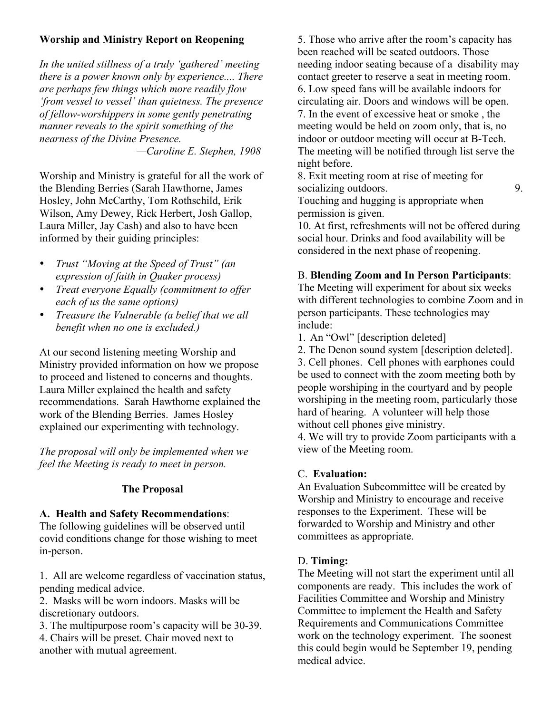# **Worship and Ministry Report on Reopening**

*In the united stillness of a truly 'gathered' meeting there is a power known only by experience.... There are perhaps few things which more readily flow 'from vessel to vessel' than quietness. The presence of fellow-worshippers in some gently penetrating manner reveals to the spirit something of the nearness of the Divine Presence.*

*—Caroline E. Stephen, 1908*

Worship and Ministry is grateful for all the work of the Blending Berries (Sarah Hawthorne, James Hosley, John McCarthy, Tom Rothschild, Erik Wilson, Amy Dewey, Rick Herbert, Josh Gallop, Laura Miller, Jay Cash) and also to have been informed by their guiding principles:

- *Trust "Moving at the Speed of Trust" (an expression of faith in Quaker process)*
- *Treat everyone Equally (commitment to offer each of us the same options)*
- *Treasure the Vulnerable (a belief that we all benefit when no one is excluded.)*

At our second listening meeting Worship and Ministry provided information on how we propose to proceed and listened to concerns and thoughts. Laura Miller explained the health and safety recommendations. Sarah Hawthorne explained the work of the Blending Berries. James Hosley explained our experimenting with technology.

*The proposal will only be implemented when we feel the Meeting is ready to meet in person.* 

# **The Proposal**

# **A. Health and Safety Recommendations**:

The following guidelines will be observed until covid conditions change for those wishing to meet in-person.

1. All are welcome regardless of vaccination status, pending medical advice.

2. Masks will be worn indoors. Masks will be discretionary outdoors.

3. The multipurpose room's capacity will be 30-39. 4. Chairs will be preset. Chair moved next to another with mutual agreement.

5. Those who arrive after the room's capacity has been reached will be seated outdoors. Those needing indoor seating because of a disability may contact greeter to reserve a seat in meeting room. 6. Low speed fans will be available indoors for circulating air. Doors and windows will be open. 7. In the event of excessive heat or smoke , the meeting would be held on zoom only, that is, no indoor or outdoor meeting will occur at B-Tech. The meeting will be notified through list serve the night before.

8. Exit meeting room at rise of meeting for socializing outdoors. 9.

Touching and hugging is appropriate when permission is given.

10. At first, refreshments will not be offered during social hour. Drinks and food availability will be considered in the next phase of reopening.

# B. **Blending Zoom and In Person Participants**:

The Meeting will experiment for about six weeks with different technologies to combine Zoom and in person participants. These technologies may include:

- 1. An "Owl" [description deleted]
- 2. The Denon sound system [description deleted].

3. Cell phones. Cell phones with earphones could be used to connect with the zoom meeting both by people worshiping in the courtyard and by people worshiping in the meeting room, particularly those hard of hearing. A volunteer will help those without cell phones give ministry.

4. We will try to provide Zoom participants with a view of the Meeting room.

# C. **Evaluation:**

An Evaluation Subcommittee will be created by Worship and Ministry to encourage and receive responses to the Experiment. These will be forwarded to Worship and Ministry and other committees as appropriate.

# D. **Timing:**

The Meeting will not start the experiment until all components are ready. This includes the work of Facilities Committee and Worship and Ministry Committee to implement the Health and Safety Requirements and Communications Committee work on the technology experiment. The soonest this could begin would be September 19, pending medical advice.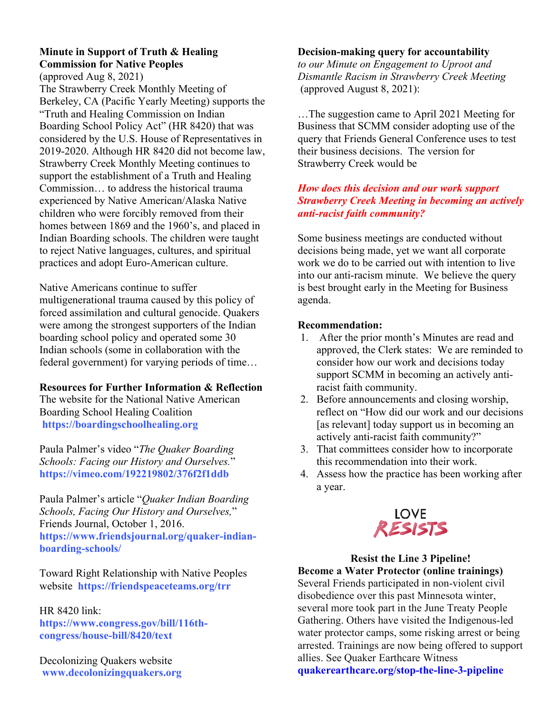# **Minute in Support of Truth & Healing Commission for Native Peoples**

(approved Aug 8, 2021)

The Strawberry Creek Monthly Meeting of Berkeley, CA (Pacific Yearly Meeting) supports the "Truth and Healing Commission on Indian Boarding School Policy Act" (HR 8420) that was considered by the U.S. House of Representatives in 2019-2020. Although HR 8420 did not become law, Strawberry Creek Monthly Meeting continues to support the establishment of a Truth and Healing Commission… to address the historical trauma experienced by Native American/Alaska Native children who were forcibly removed from their homes between 1869 and the 1960's, and placed in Indian Boarding schools. The children were taught to reject Native languages, cultures, and spiritual practices and adopt Euro-American culture.

Native Americans continue to suffer

multigenerational trauma caused by this policy of forced assimilation and cultural genocide. Quakers were among the strongest supporters of the Indian boarding school policy and operated some 30 Indian schools (some in collaboration with the federal government) for varying periods of time…

**Resources for Further Information & Reflection**

The website for the National Native American Boarding School Healing Coalition **https://boardingschoolhealing.org**

Paula Palmer's video "*The Quaker Boarding Schools: Facing our History and Ourselves.*" **https://vimeo.com/192219802/376f2f1ddb**

Paula Palmer's article "*Quaker Indian Boarding Schools, Facing Our History and Ourselves,*" Friends Journal, October 1, 2016. **https://www.friendsjournal.org/quaker-indianboarding-schools/**

Toward Right Relationship with Native Peoples website **https://friendspeaceteams.org/trr**

# HR 8420 link:

**https://www.congress.gov/bill/116thcongress/house-bill/8420/text**

Decolonizing Quakers website **www.decolonizingquakers.org**

# **Decision-making query for accountability**

*to our Minute on Engagement to Uproot and Dismantle Racism in Strawberry Creek Meeting* (approved August 8, 2021):

…The suggestion came to April 2021 Meeting for Business that SCMM consider adopting use of the query that Friends General Conference uses to test their business decisions. The version for Strawberry Creek would be

# *How does this decision and our work support Strawberry Creek Meeting in becoming an actively anti-racist faith community?*

Some business meetings are conducted without decisions being made, yet we want all corporate work we do to be carried out with intention to live into our anti-racism minute. We believe the query is best brought early in the Meeting for Business agenda.

# **Recommendation:**

- 1. After the prior month's Minutes are read and approved, the Clerk states: We are reminded to consider how our work and decisions today support SCMM in becoming an actively antiracist faith community.
- 2. Before announcements and closing worship, reflect on "How did our work and our decisions [as relevant] today support us in becoming an actively anti-racist faith community?"
- 3. That committees consider how to incorporate this recommendation into their work.
- 4. Assess how the practice has been working after a year.



# **Resist the Line 3 Pipeline!**

**Become a Water Protector (online trainings)** Several Friends participated in non-violent civil disobedience over this past Minnesota winter, several more took part in the June Treaty People Gathering. Others have visited the Indigenous-led water protector camps, some risking arrest or being arrested. Trainings are now being offered to support allies. See Quaker Earthcare Witness **quakerearthcare.org/stop-the-line-3-pipeline**